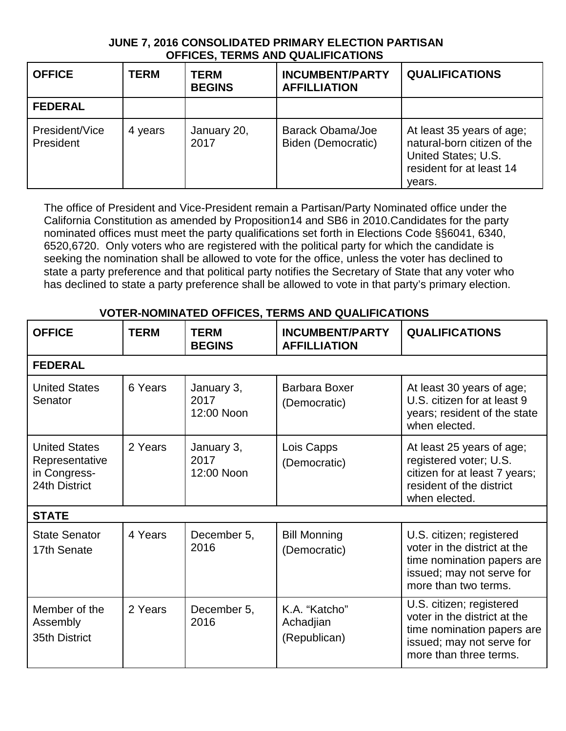## **JUNE 7, 2016 CONSOLIDATED PRIMARY ELECTION PARTISAN OFFICES, TERMS AND QUALIFICATIONS**

| <b>OFFICE</b>               | <b>TERM</b> | <b>TERM</b><br><b>BEGINS</b> | <b>INCUMBENT/PARTY</b><br><b>AFFILLIATION</b> | <b>QUALIFICATIONS</b>                                                                                                 |
|-----------------------------|-------------|------------------------------|-----------------------------------------------|-----------------------------------------------------------------------------------------------------------------------|
| <b>FEDERAL</b>              |             |                              |                                               |                                                                                                                       |
| President/Vice<br>President | 4 years     | January 20,<br>2017          | Barack Obama/Joe<br>Biden (Democratic)        | At least 35 years of age;<br>natural-born citizen of the<br>United States; U.S.<br>resident for at least 14<br>years. |

The office of President and Vice-President remain a Partisan/Party Nominated office under the California Constitution as amended by Proposition14 and SB6 in 2010.Candidates for the party nominated offices must meet the party qualifications set forth in Elections Code §§6041, 6340, 6520,6720. Only voters who are registered with the political party for which the candidate is seeking the nomination shall be allowed to vote for the office, unless the voter has declined to state a party preference and that political party notifies the Secretary of State that any voter who has declined to state a party preference shall be allowed to vote in that party's primary election.

| <b>OFFICE</b>                                                           | <b>TERM</b> | <b>TERM</b><br><b>BEGINS</b>     | <b>INCUMBENT/PARTY</b><br><b>AFFILLIATION</b> | <b>QUALIFICATIONS</b>                                                                                                                         |
|-------------------------------------------------------------------------|-------------|----------------------------------|-----------------------------------------------|-----------------------------------------------------------------------------------------------------------------------------------------------|
| <b>FEDERAL</b>                                                          |             |                                  |                                               |                                                                                                                                               |
| <b>United States</b><br>Senator                                         | 6 Years     | January 3,<br>2017<br>12:00 Noon | <b>Barbara Boxer</b><br>(Democratic)          | At least 30 years of age;<br>U.S. citizen for at least 9<br>years; resident of the state<br>when elected.                                     |
| <b>United States</b><br>Representative<br>in Congress-<br>24th District | 2 Years     | January 3,<br>2017<br>12:00 Noon | Lois Capps<br>(Democratic)                    | At least 25 years of age;<br>registered voter; U.S.<br>citizen for at least 7 years;<br>resident of the district<br>when elected.             |
| <b>STATE</b>                                                            |             |                                  |                                               |                                                                                                                                               |
| <b>State Senator</b><br>17th Senate                                     | 4 Years     | December 5,<br>2016              | <b>Bill Monning</b><br>(Democratic)           | U.S. citizen; registered<br>voter in the district at the<br>time nomination papers are<br>issued; may not serve for<br>more than two terms.   |
| Member of the<br>Assembly<br>35th District                              | 2 Years     | December 5,<br>2016              | K.A. "Katcho"<br>Achadjian<br>(Republican)    | U.S. citizen; registered<br>voter in the district at the<br>time nomination papers are<br>issued; may not serve for<br>more than three terms. |

**VOTER-NOMINATED OFFICES, TERMS AND QUALIFICATIONS**